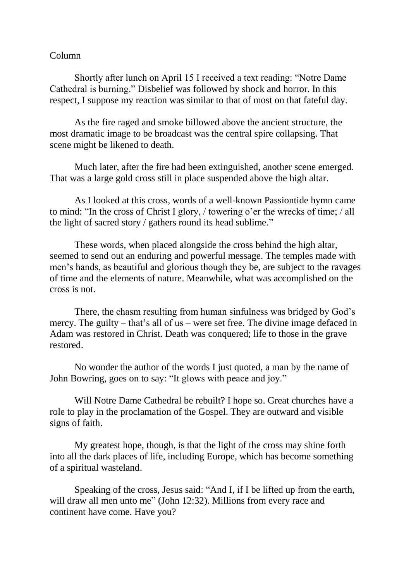## Column

Shortly after lunch on April 15 I received a text reading: "Notre Dame Cathedral is burning." Disbelief was followed by shock and horror. In this respect, I suppose my reaction was similar to that of most on that fateful day.

As the fire raged and smoke billowed above the ancient structure, the most dramatic image to be broadcast was the central spire collapsing. That scene might be likened to death.

Much later, after the fire had been extinguished, another scene emerged. That was a large gold cross still in place suspended above the high altar.

As I looked at this cross, words of a well-known Passiontide hymn came to mind: "In the cross of Christ I glory, / towering o'er the wrecks of time; / all the light of sacred story / gathers round its head sublime."

These words, when placed alongside the cross behind the high altar, seemed to send out an enduring and powerful message. The temples made with men's hands, as beautiful and glorious though they be, are subject to the ravages of time and the elements of nature. Meanwhile, what was accomplished on the cross is not.

There, the chasm resulting from human sinfulness was bridged by God's mercy. The guilty – that's all of us – were set free. The divine image defaced in Adam was restored in Christ. Death was conquered; life to those in the grave restored.

No wonder the author of the words I just quoted, a man by the name of John Bowring, goes on to say: "It glows with peace and joy."

Will Notre Dame Cathedral be rebuilt? I hope so. Great churches have a role to play in the proclamation of the Gospel. They are outward and visible signs of faith.

My greatest hope, though, is that the light of the cross may shine forth into all the dark places of life, including Europe, which has become something of a spiritual wasteland.

Speaking of the cross, Jesus said: "And I, if I be lifted up from the earth, will draw all men unto me" (John 12:32). Millions from every race and continent have come. Have you?